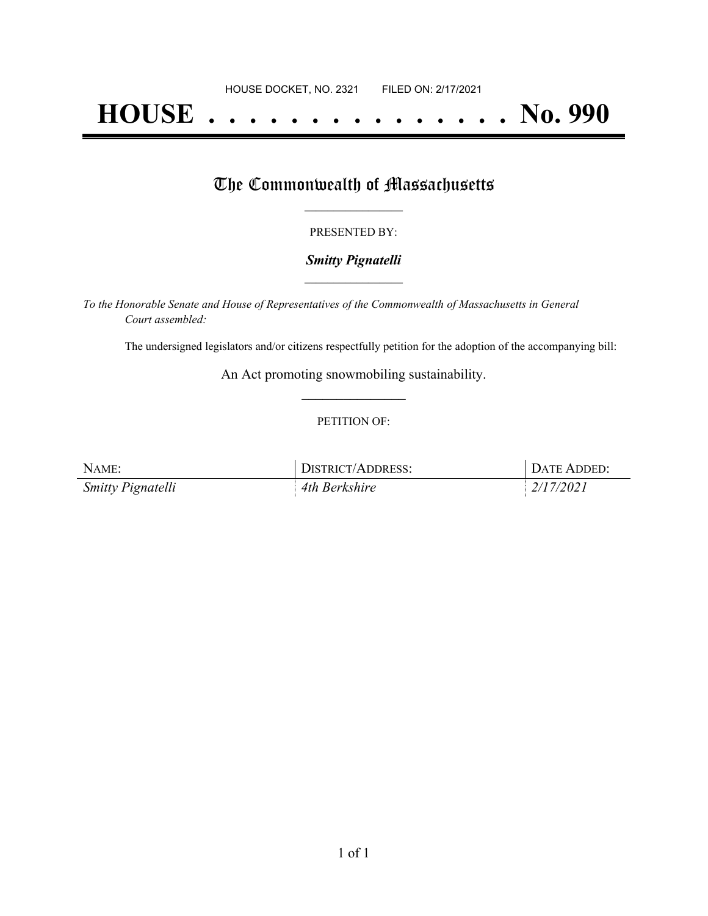# **HOUSE . . . . . . . . . . . . . . . No. 990**

## The Commonwealth of Massachusetts

#### PRESENTED BY:

#### *Smitty Pignatelli* **\_\_\_\_\_\_\_\_\_\_\_\_\_\_\_\_\_**

*To the Honorable Senate and House of Representatives of the Commonwealth of Massachusetts in General Court assembled:*

The undersigned legislators and/or citizens respectfully petition for the adoption of the accompanying bill:

An Act promoting snowmobiling sustainability. **\_\_\_\_\_\_\_\_\_\_\_\_\_\_\_**

#### PETITION OF:

| NAME:                    | <b>DISTRICT/ADDRESS:</b> | DATE ADDED: |
|--------------------------|--------------------------|-------------|
| <b>Smitty Pignatelli</b> | 4th Berkshire            | 2/17/2021   |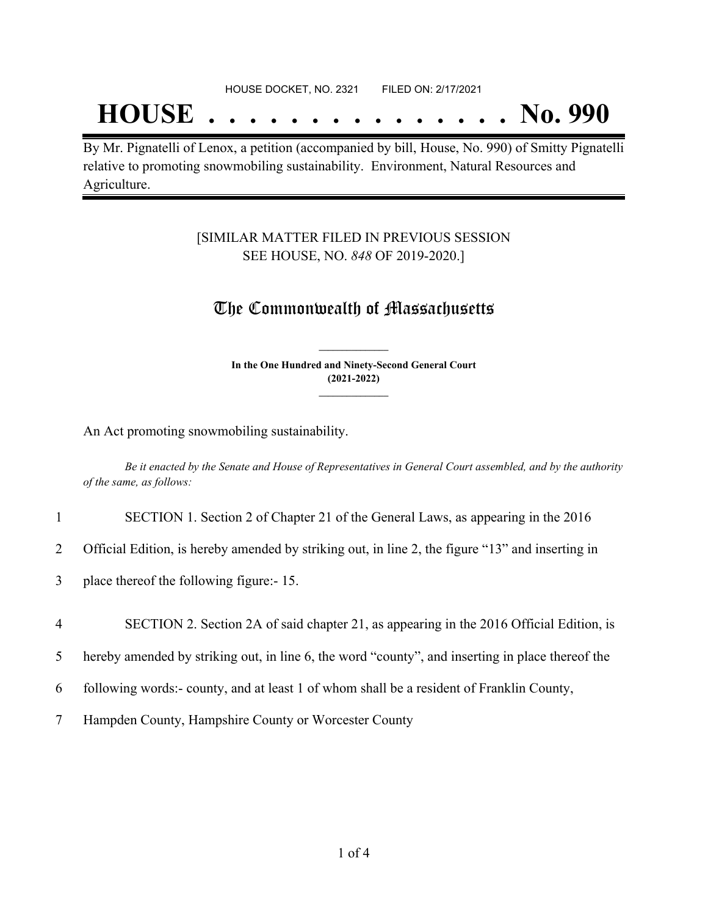#### HOUSE DOCKET, NO. 2321 FILED ON: 2/17/2021

## **HOUSE . . . . . . . . . . . . . . . No. 990**

By Mr. Pignatelli of Lenox, a petition (accompanied by bill, House, No. 990) of Smitty Pignatelli relative to promoting snowmobiling sustainability. Environment, Natural Resources and Agriculture.

#### [SIMILAR MATTER FILED IN PREVIOUS SESSION SEE HOUSE, NO. *848* OF 2019-2020.]

### The Commonwealth of Massachusetts

**In the One Hundred and Ninety-Second General Court (2021-2022) \_\_\_\_\_\_\_\_\_\_\_\_\_\_\_**

**\_\_\_\_\_\_\_\_\_\_\_\_\_\_\_**

An Act promoting snowmobiling sustainability.

Be it enacted by the Senate and House of Representatives in General Court assembled, and by the authority *of the same, as follows:*

1 SECTION 1. Section 2 of Chapter 21 of the General Laws, as appearing in the 2016

2 Official Edition, is hereby amended by striking out, in line 2, the figure "13" and inserting in

3 place thereof the following figure:- 15.

4 SECTION 2. Section 2A of said chapter 21, as appearing in the 2016 Official Edition, is

5 hereby amended by striking out, in line 6, the word "county", and inserting in place thereof the

6 following words:- county, and at least 1 of whom shall be a resident of Franklin County,

7 Hampden County, Hampshire County or Worcester County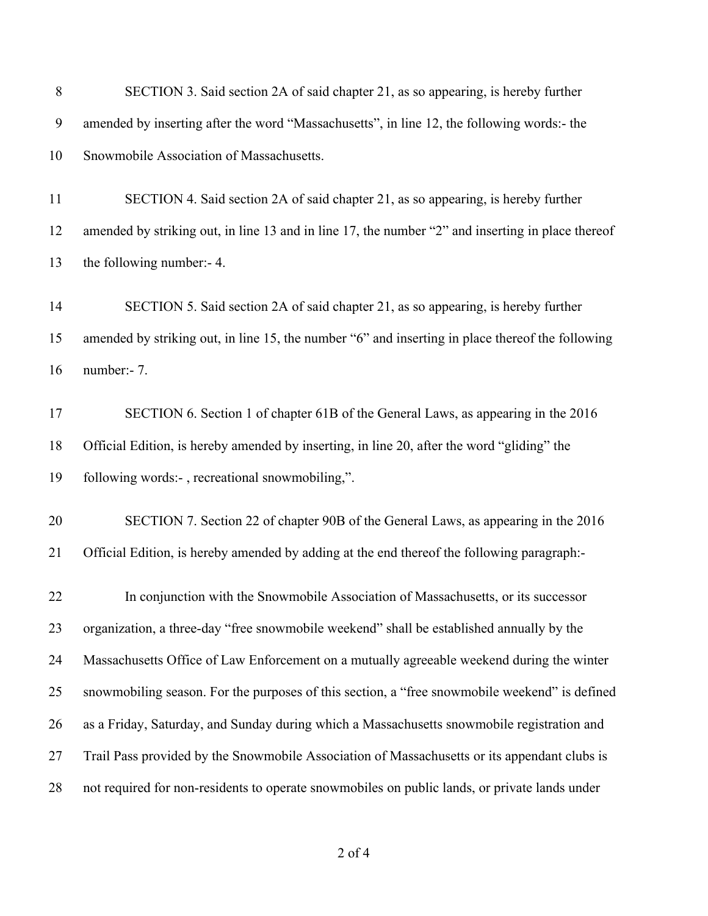| 8  | SECTION 3. Said section 2A of said chapter 21, as so appearing, is hereby further                 |
|----|---------------------------------------------------------------------------------------------------|
| 9  | amended by inserting after the word "Massachusetts", in line 12, the following words:- the        |
| 10 | Snowmobile Association of Massachusetts.                                                          |
| 11 | SECTION 4. Said section 2A of said chapter 21, as so appearing, is hereby further                 |
| 12 | amended by striking out, in line 13 and in line 17, the number "2" and inserting in place thereof |
| 13 | the following number:- 4.                                                                         |
| 14 | SECTION 5. Said section 2A of said chapter 21, as so appearing, is hereby further                 |
| 15 | amended by striking out, in line 15, the number "6" and inserting in place thereof the following  |
| 16 | number:- 7.                                                                                       |
| 17 | SECTION 6. Section 1 of chapter 61B of the General Laws, as appearing in the 2016                 |
| 18 | Official Edition, is hereby amended by inserting, in line 20, after the word "gliding" the        |
| 19 | following words:-, recreational snowmobiling,".                                                   |
| 20 | SECTION 7. Section 22 of chapter 90B of the General Laws, as appearing in the 2016                |
| 21 | Official Edition, is hereby amended by adding at the end thereof the following paragraph:-        |
| 22 | In conjunction with the Snowmobile Association of Massachusetts, or its successor                 |
| 23 | organization, a three-day "free snowmobile weekend" shall be established annually by the          |
| 24 | Massachusetts Office of Law Enforcement on a mutually agreeable weekend during the winter         |
| 25 | snowmobiling season. For the purposes of this section, a "free snowmobile weekend" is defined     |
| 26 | as a Friday, Saturday, and Sunday during which a Massachusetts snowmobile registration and        |
| 27 | Trail Pass provided by the Snowmobile Association of Massachusetts or its appendant clubs is      |
| 28 | not required for non-residents to operate snowmobiles on public lands, or private lands under     |
|    |                                                                                                   |

of 4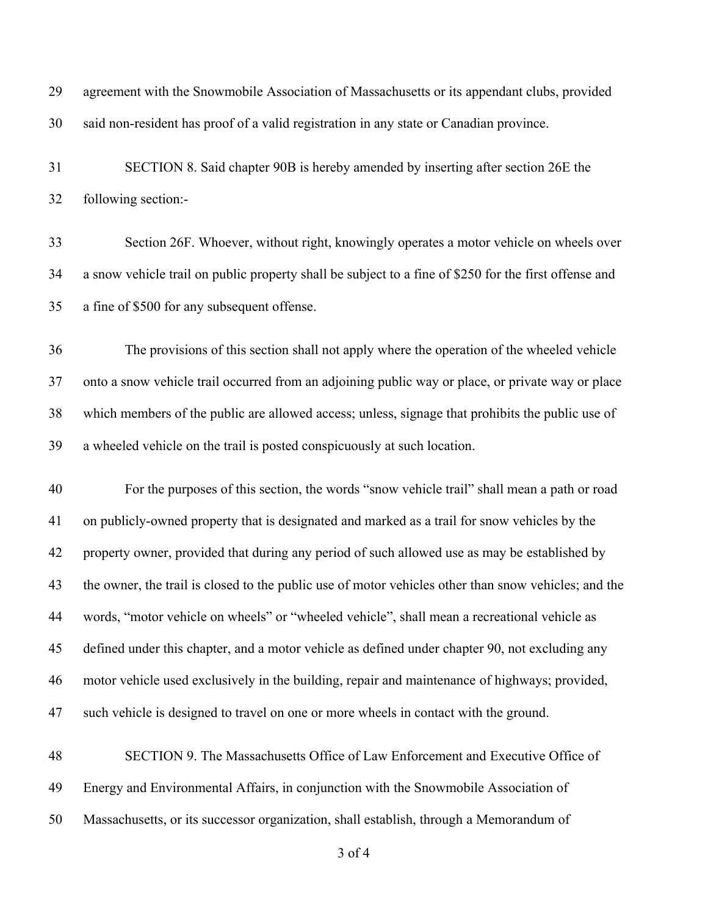| 29 | agreement with the Snowmobile Association of Massachusetts or its appendant clubs, provided           |
|----|-------------------------------------------------------------------------------------------------------|
| 30 | said non-resident has proof of a valid registration in any state or Canadian province.                |
| 31 | SECTION 8. Said chapter 90B is hereby amended by inserting after section 26E the                      |
| 32 | following section:-                                                                                   |
| 33 | Section 26F. Whoever, without right, knowingly operates a motor vehicle on wheels over                |
| 34 | a snow vehicle trail on public property shall be subject to a fine of \$250 for the first offense and |
| 35 | a fine of \$500 for any subsequent offense.                                                           |
| 36 | The provisions of this section shall not apply where the operation of the wheeled vehicle             |
| 37 | onto a snow vehicle trail occurred from an adjoining public way or place, or private way or place     |
| 38 | which members of the public are allowed access; unless, signage that prohibits the public use of      |
| 39 | a wheeled vehicle on the trail is posted conspicuously at such location.                              |
| 40 | For the purposes of this section, the words "snow vehicle trail" shall mean a path or road            |
| 41 | on publicly-owned property that is designated and marked as a trail for snow vehicles by the          |
| 42 | property owner, provided that during any period of such allowed use as may be established by          |
| 43 | the owner, the trail is closed to the public use of motor vehicles other than snow vehicles; and the  |
| 44 | words, "motor vehicle on wheels" or "wheeled vehicle", shall mean a recreational vehicle as           |
| 45 | defined under this chapter, and a motor vehicle as defined under chapter 90, not excluding any        |
| 46 | motor vehicle used exclusively in the building, repair and maintenance of highways; provided,         |
|    |                                                                                                       |
| 47 | such vehicle is designed to travel on one or more wheels in contact with the ground.                  |
| 48 | SECTION 9. The Massachusetts Office of Law Enforcement and Executive Office of                        |
| 49 | Energy and Environmental Affairs, in conjunction with the Snowmobile Association of                   |

of 4